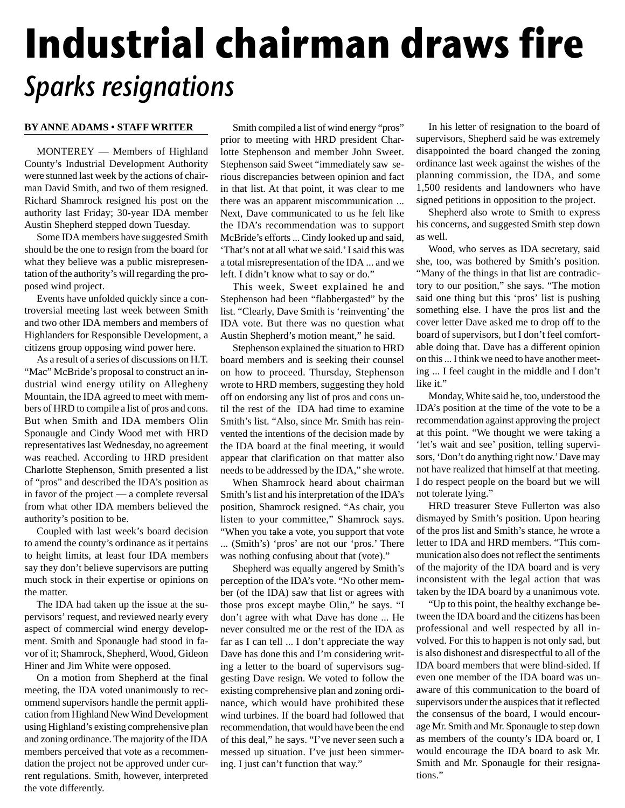## **Industrial chairman draws fire** Sparks resignations

## **BY ANNE ADAMS • STAFF WRITER**

MONTEREY — Members of Highland County's Industrial Development Authority were stunned last week by the actions of chairman David Smith, and two of them resigned. Richard Shamrock resigned his post on the authority last Friday; 30-year IDA member Austin Shepherd stepped down Tuesday.

Some IDA members have suggested Smith should be the one to resign from the board for what they believe was a public misrepresentation of the authority's will regarding the proposed wind project.

Events have unfolded quickly since a controversial meeting last week between Smith and two other IDA members and members of Highlanders for Responsible Development, a citizens group opposing wind power here.

As a result of a series of discussions on H.T. "Mac" McBride's proposal to construct an industrial wind energy utility on Allegheny Mountain, the IDA agreed to meet with members of HRD to compile a list of pros and cons. But when Smith and IDA members Olin Sponaugle and Cindy Wood met with HRD representatives last Wednesday, no agreement was reached. According to HRD president Charlotte Stephenson, Smith presented a list of "pros" and described the IDA's position as in favor of the project — a complete reversal from what other IDA members believed the authority's position to be.

Coupled with last week's board decision to amend the county's ordinance as it pertains to height limits, at least four IDA members say they don't believe supervisors are putting much stock in their expertise or opinions on the matter.

The IDA had taken up the issue at the supervisors' request, and reviewed nearly every aspect of commercial wind energy development. Smith and Sponaugle had stood in favor of it; Shamrock, Shepherd, Wood, Gideon Hiner and Jim White were opposed.

On a motion from Shepherd at the final meeting, the IDA voted unanimously to recommend supervisors handle the permit application from Highland New Wind Development using Highland's existing comprehensive plan and zoning ordinance. The majority of the IDA members perceived that vote as a recommendation the project not be approved under current regulations. Smith, however, interpreted the vote differently.

Smith compiled a list of wind energy "pros" prior to meeting with HRD president Charlotte Stephenson and member John Sweet. Stephenson said Sweet "immediately saw serious discrepancies between opinion and fact in that list. At that point, it was clear to me there was an apparent miscommunication ... Next, Dave communicated to us he felt like the IDA's recommendation was to support McBride's efforts ... Cindy looked up and said, 'That's not at all what we said.' I said this was a total misrepresentation of the IDA ... and we left. I didn't know what to say or do."

This week, Sweet explained he and Stephenson had been "flabbergasted" by the list. "Clearly, Dave Smith is 'reinventing' the IDA vote. But there was no question what Austin Shepherd's motion meant," he said.

Stephenson explained the situation to HRD board members and is seeking their counsel on how to proceed. Thursday, Stephenson wrote to HRD members, suggesting they hold off on endorsing any list of pros and cons until the rest of the IDA had time to examine Smith's list. "Also, since Mr. Smith has reinvented the intentions of the decision made by the IDA board at the final meeting, it would appear that clarification on that matter also needs to be addressed by the IDA," she wrote.

When Shamrock heard about chairman Smith's list and his interpretation of the IDA's position, Shamrock resigned. "As chair, you listen to your committee," Shamrock says. "When you take a vote, you support that vote ... (Smith's) 'pros' are not our 'pros.' There was nothing confusing about that (vote)."

Shepherd was equally angered by Smith's perception of the IDA's vote. "No other member (of the IDA) saw that list or agrees with those pros except maybe Olin," he says. "I don't agree with what Dave has done ... He never consulted me or the rest of the IDA as far as I can tell ... I don't appreciate the way Dave has done this and I'm considering writing a letter to the board of supervisors suggesting Dave resign. We voted to follow the existing comprehensive plan and zoning ordinance, which would have prohibited these wind turbines. If the board had followed that recommendation, that would have been the end of this deal," he says. "I've never seen such a messed up situation. I've just been simmering. I just can't function that way."

In his letter of resignation to the board of supervisors, Shepherd said he was extremely disappointed the board changed the zoning ordinance last week against the wishes of the planning commission, the IDA, and some 1,500 residents and landowners who have signed petitions in opposition to the project.

Shepherd also wrote to Smith to express his concerns, and suggested Smith step down as well.

Wood, who serves as IDA secretary, said she, too, was bothered by Smith's position. "Many of the things in that list are contradictory to our position," she says. "The motion said one thing but this 'pros' list is pushing something else. I have the pros list and the cover letter Dave asked me to drop off to the board of supervisors, but I don't feel comfortable doing that. Dave has a different opinion on this ... I think we need to have another meeting ... I feel caught in the middle and I don't like it."

Monday, White said he, too, understood the IDA's position at the time of the vote to be a recommendation against approving the project at this point. "We thought we were taking a 'let's wait and see' position, telling supervisors, 'Don't do anything right now.' Dave may not have realized that himself at that meeting. I do respect people on the board but we will not tolerate lying."

HRD treasurer Steve Fullerton was also dismayed by Smith's position. Upon hearing of the pros list and Smith's stance, he wrote a letter to IDA and HRD members. "This communication also does not reflect the sentiments of the majority of the IDA board and is very inconsistent with the legal action that was taken by the IDA board by a unanimous vote.

"Up to this point, the healthy exchange between the IDA board and the citizens has been professional and well respected by all involved. For this to happen is not only sad, but is also dishonest and disrespectful to all of the IDA board members that were blind-sided. If even one member of the IDA board was unaware of this communication to the board of supervisors under the auspices that it reflected the consensus of the board, I would encourage Mr. Smith and Mr. Sponaugle to step down as members of the county's IDA board or, I would encourage the IDA board to ask Mr. Smith and Mr. Sponaugle for their resignations."